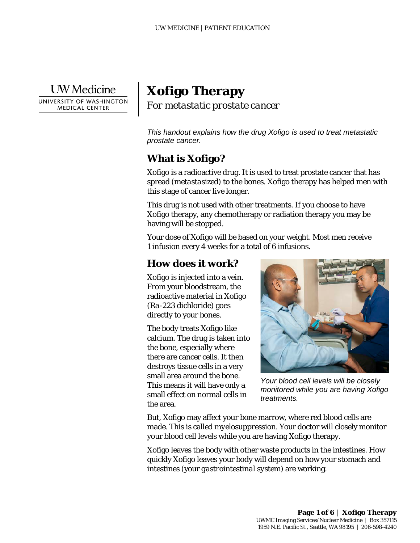

|  $\vert$  $\vert$  $\vert$ 

# **Xofigo Therapy** *For metastatic prostate cancer*

*This handout explains how the drug Xofigo is used to treat metastatic prostate cancer.* 

## **What is Xofigo?**

Xofigo is a radioactive drug. It is used to treat prostate cancer that has spread (*metastasized*) to the bones. Xofigo therapy has helped men with this stage of cancer live longer.

This drug is not used with other treatments. If you choose to have Xofigo therapy, any chemotherapy or radiation therapy you may be having will be stopped.

Your dose of Xofigo will be based on your weight. Most men receive 1 infusion every 4 weeks for a total of 6 infusions.

### **How does it work?**

Xofigo is injected into a vein. From your bloodstream, the radioactive material in Xofigo (*Ra-223 dichloride*) goes directly to your bones.

The body treats Xofigo like calcium. The drug is taken into the bone, especially where there are cancer cells. It then destroys tissue cells in a very small area around the bone. This means it will have only a small effect on normal cells in the area.

\_\_\_\_\_\_\_\_\_\_\_\_\_\_\_\_\_\_\_\_\_\_\_\_\_\_\_\_\_\_\_\_\_\_\_\_\_\_\_\_\_\_\_\_\_\_\_\_\_\_\_\_\_\_\_\_\_\_\_\_\_\_\_\_\_\_\_\_\_\_\_\_\_\_\_\_\_\_\_\_\_\_\_\_\_\_\_\_\_\_\_\_\_



*Your blood cell levels will be closely monitored while you are having Xofigo treatments.*

But, Xofigo may affect your bone marrow, where red blood cells are made. This is called *myelosuppression*. Your doctor will closely monitor your blood cell levels while you are having Xofigo therapy.

Xofigo leaves the body with other waste products in the intestines. How quickly Xofigo leaves your body will depend on how your stomach and intestines (your *gastrointestinal system*) are working.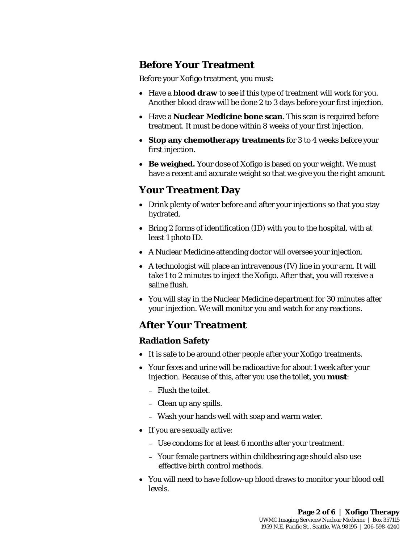## **Before Your Treatment**

Before your Xofigo treatment, you must:

- Have a **blood draw** to see if this type of treatment will work for you. Another blood draw will be done 2 to 3 days before your first injection.
- Have a **Nuclear Medicine bone scan**. This scan is required before treatment. It must be done within 8 weeks of your first injection.
- **Stop any chemotherapy treatments** for 3 to 4 weeks before your first injection.
- **Be weighed.** Your dose of Xofigo is based on your weight. We must have a recent and accurate weight so that we give you the right amount.

### **Your Treatment Day**

- Drink plenty of water before and after your injections so that you stay hydrated.
- Bring 2 forms of identification (ID) with you to the hospital, with at least 1 photo ID.
- A Nuclear Medicine attending doctor will oversee your injection.
- A technologist will place an *intravenous* (IV) line in your arm. It will take 1 to 2 minutes to inject the Xofigo. After that, you will receive a saline flush.
- You will stay in the Nuclear Medicine department for 30 minutes after your injection. We will monitor you and watch for any reactions.

### **After Your Treatment**

#### **Radiation Safety**

- It is safe to be around other people after your Xofigo treatments.
- Your feces and urine will be radioactive for about 1 week after your injection. Because of this, after you use the toilet, you **must**:
	- Flush the toilet.
	- Clean up any spills.
	- Wash your hands well with soap and warm water.

\_\_\_\_\_\_\_\_\_\_\_\_\_\_\_\_\_\_\_\_\_\_\_\_\_\_\_\_\_\_\_\_\_\_\_\_\_\_\_\_\_\_\_\_\_\_\_\_\_\_\_\_\_\_\_\_\_\_\_\_\_\_\_\_\_\_\_\_\_\_\_\_\_\_\_\_\_\_\_\_\_\_\_\_\_\_\_\_\_\_\_\_\_

- If you are sexually active:
	- Use condoms for at least 6 months after your treatment.
	- Your female partners within childbearing age should also use effective birth control methods.
- You will need to have follow-up blood draws to monitor your blood cell levels.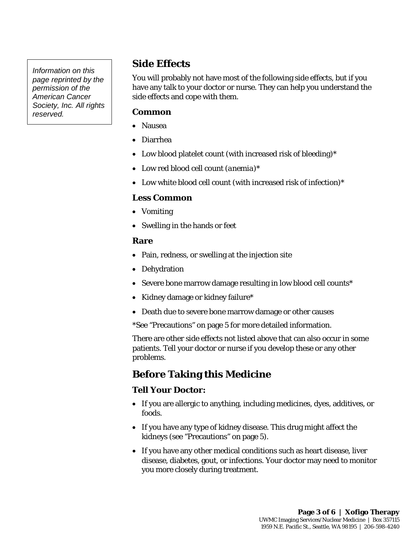## **Side Effects**

You will probably not have most of the following side effects, but if you have any talk to your doctor or nurse. They can help you understand the side effects and cope with them.

#### **Common**

- Nausea
- Diarrhea
- Low blood platelet count (with increased risk of bleeding)\*
- Low red blood cell count (*anemia*)\*
- Low white blood cell count (with increased risk of infection)\*

#### **Less Common**

- Vomiting
- Swelling in the hands or feet

#### **Rare**

- Pain, redness, or swelling at the injection site
- Dehydration
- Severe bone marrow damage resulting in low blood cell counts\*
- Kidney damage or kidney failure\*
- Death due to severe bone marrow damage or other causes
- \*See "Precautions" on page 5 for more detailed information.

There are other side effects not listed above that can also occur in some patients. Tell your doctor or nurse if you develop these or any other problems.

## **Before Taking this Medicine**

\_\_\_\_\_\_\_\_\_\_\_\_\_\_\_\_\_\_\_\_\_\_\_\_\_\_\_\_\_\_\_\_\_\_\_\_\_\_\_\_\_\_\_\_\_\_\_\_\_\_\_\_\_\_\_\_\_\_\_\_\_\_\_\_\_\_\_\_\_\_\_\_\_\_\_\_\_\_\_\_\_\_\_\_\_\_\_\_\_\_\_\_\_

#### **Tell Your Doctor:**

- If you are allergic to anything, including medicines, dyes, additives, or foods.
- If you have any type of kidney disease. This drug might affect the kidneys (see "Precautions" on page 5).
- If you have any other medical conditions such as heart disease, liver disease, diabetes, gout, or infections. Your doctor may need to monitor you more closely during treatment.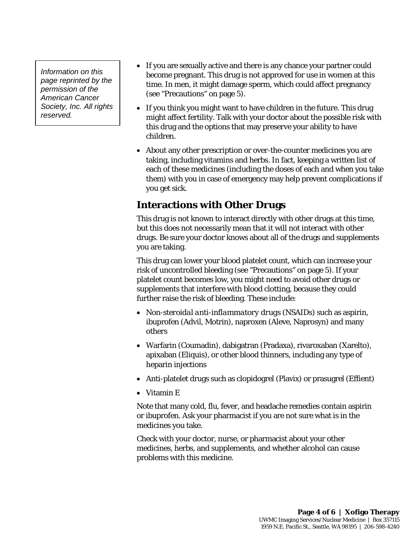- If you are sexually active and there is any chance your partner could become pregnant. This drug is not approved for use in women at this time. In men, it might damage sperm, which could affect pregnancy (see "Precautions" on page 5).
- If you think you might want to have children in the future. This drug might affect fertility. Talk with your doctor about the possible risk with this drug and the options that may preserve your ability to have children.
- About any other prescription or over-the-counter medicines you are taking, including vitamins and herbs. In fact, keeping a written list of each of these medicines (including the doses of each and when you take them) with you in case of emergency may help prevent complications if you get sick.

## **Interactions with Other Drugs**

This drug is not known to interact directly with other drugs at this time, but this does not necessarily mean that it will not interact with other drugs. Be sure your doctor knows about all of the drugs and supplements you are taking.

This drug can lower your blood platelet count, which can increase your risk of uncontrolled bleeding (see "Precautions" on page 5). If your platelet count becomes low, you might need to avoid other drugs or supplements that interfere with blood clotting, because they could further raise the risk of bleeding. These include:

- *Non-steroidal anti-inflammatory drugs* (NSAIDs) such as aspirin, ibuprofen (Advil, Motrin), naproxen (Aleve, Naprosyn) and many others
- Warfarin (Coumadin), dabigatran (Pradaxa), rivaroxaban (Xarelto), apixaban (Eliquis), or other blood thinners, including any type of heparin injections
- Anti-platelet drugs such as clopidogrel (Plavix) or prasugrel (Effient)
- Vitamin E

Note that many cold, flu, fever, and headache remedies contain aspirin or ibuprofen. Ask your pharmacist if you are not sure what is in the medicines you take.

Check with your doctor, nurse, or pharmacist about your other medicines, herbs, and supplements, and whether alcohol can cause problems with this medicine.

\_\_\_\_\_\_\_\_\_\_\_\_\_\_\_\_\_\_\_\_\_\_\_\_\_\_\_\_\_\_\_\_\_\_\_\_\_\_\_\_\_\_\_\_\_\_\_\_\_\_\_\_\_\_\_\_\_\_\_\_\_\_\_\_\_\_\_\_\_\_\_\_\_\_\_\_\_\_\_\_\_\_\_\_\_\_\_\_\_\_\_\_\_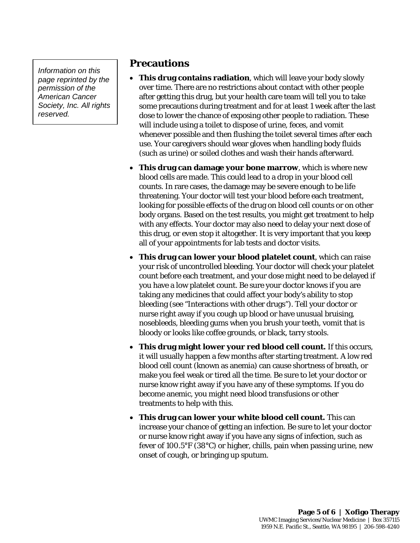### **Precautions**

- **This drug contains radiation**, which will leave your body slowly over time. There are no restrictions about contact with other people after getting this drug, but your health care team will tell you to take some precautions during treatment and for at least 1 week after the last dose to lower the chance of exposing other people to radiation. These will include using a toilet to dispose of urine, feces, and vomit whenever possible and then flushing the toilet several times after each use. Your caregivers should wear gloves when handling body fluids (such as urine) or soiled clothes and wash their hands afterward.
- **This drug can damage your bone marrow**, which is where new blood cells are made. This could lead to a drop in your blood cell counts. In rare cases, the damage may be severe enough to be life threatening. Your doctor will test your blood before each treatment, looking for possible effects of the drug on blood cell counts or on other body organs. Based on the test results, you might get treatment to help with any effects. Your doctor may also need to delay your next dose of this drug, or even stop it altogether. It is very important that you keep all of your appointments for lab tests and doctor visits.
- **This drug can lower your blood platelet count**, which can raise your risk of uncontrolled bleeding. Your doctor will check your platelet count before each treatment, and your dose might need to be delayed if you have a low platelet count. Be sure your doctor knows if you are taking any medicines that could affect your body's ability to stop bleeding (see "Interactions with other drugs"). Tell your doctor or nurse right away if you cough up blood or have unusual bruising, nosebleeds, bleeding gums when you brush your teeth, vomit that is bloody or looks like coffee grounds, or black, tarry stools.
- **This drug might lower your red blood cell count.** If this occurs, it will usually happen a few months after starting treatment. A low red blood cell count (known as anemia) can cause shortness of breath, or make you feel weak or tired all the time. Be sure to let your doctor or nurse know right away if you have any of these symptoms. If you do become anemic, you might need blood transfusions or other treatments to help with this.
- **This drug can lower your white blood cell count.** This can increase your chance of getting an infection. Be sure to let your doctor or nurse know right away if you have any signs of infection, such as fever of 100.5°F (38°C) or higher, chills, pain when passing urine, new onset of cough, or bringing up sputum.

\_\_\_\_\_\_\_\_\_\_\_\_\_\_\_\_\_\_\_\_\_\_\_\_\_\_\_\_\_\_\_\_\_\_\_\_\_\_\_\_\_\_\_\_\_\_\_\_\_\_\_\_\_\_\_\_\_\_\_\_\_\_\_\_\_\_\_\_\_\_\_\_\_\_\_\_\_\_\_\_\_\_\_\_\_\_\_\_\_\_\_\_\_